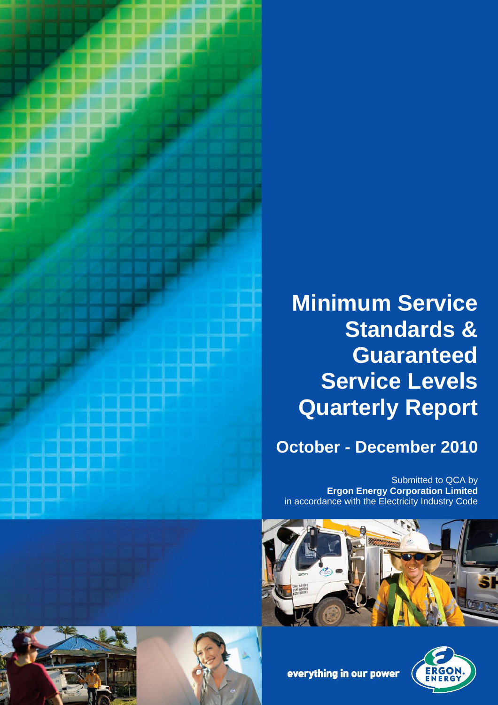

# **Minimum Service Standards & Guaranteed Service Levels Quarterly Report**

# **October - December 2010**

Submitted to QCA by **Ergon Energy Corporation Limited** in accordance with the Electricity Industry Code









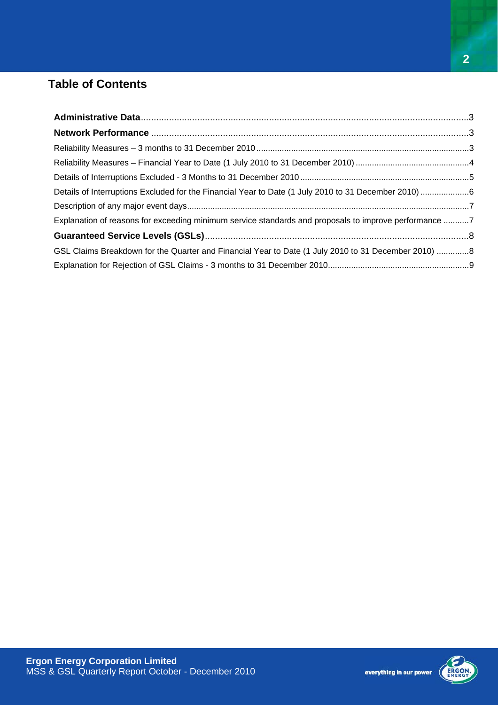# **Table of Contents**

| Details of Interruptions Excluded for the Financial Year to Date (1 July 2010 to 31 December 2010) 6  |  |
|-------------------------------------------------------------------------------------------------------|--|
|                                                                                                       |  |
| Explanation of reasons for exceeding minimum service standards and proposals to improve performance 7 |  |
|                                                                                                       |  |
| GSL Claims Breakdown for the Quarter and Financial Year to Date (1 July 2010 to 31 December 2010) 8   |  |
|                                                                                                       |  |

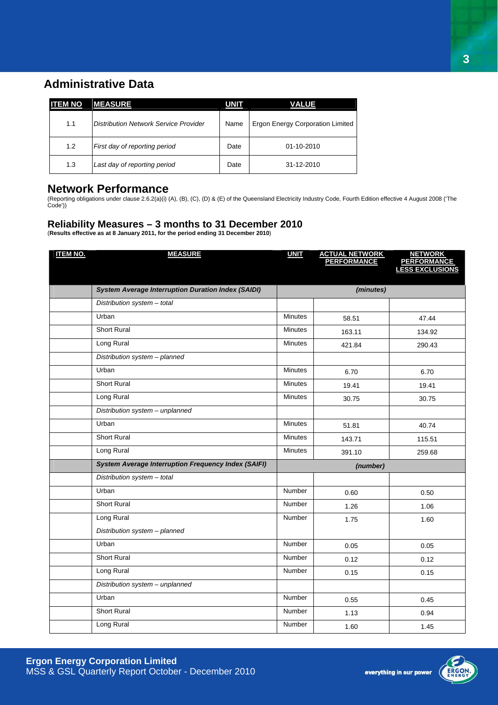### <span id="page-2-0"></span>**Administrative Data**

| <b>ITEM NO</b> | <b>MEASURE</b>                        | <b>UNIT</b> | <b>VALUE</b>                            |
|----------------|---------------------------------------|-------------|-----------------------------------------|
| 1.1            | Distribution Network Service Provider | Name        | <b>Ergon Energy Corporation Limited</b> |
| 1.2            | First day of reporting period         | Date        | 01-10-2010                              |
| 1.3            | Last day of reporting period          | Date        | 31-12-2010                              |

#### **Network Performance**

(Reporting obligations under clause 2.6.2(a)(i) (A), (B), (C), (D) & (E) of the Queensland Electricity Industry Code, Fourth Edition effective 4 August 2008 ('The Code'))

#### **Reliability Measures – 3 months to 31 December 2010**

(**Results effective as at 8 January 2011, for the period ending 31 December 2010**)

| <b>ITEM NO.</b> | <b>MEASURE</b>                                             | <b>UNIT</b>    | <b>ACTUAL NETWORK<br/>PERFORMANCE</b> | <b>NETWORK</b><br><b>PERFORMANCE</b><br><b>LESS EXCLUSIONS</b> |
|-----------------|------------------------------------------------------------|----------------|---------------------------------------|----------------------------------------------------------------|
|                 |                                                            |                |                                       |                                                                |
|                 | <b>System Average Interruption Duration Index (SAIDI)</b>  |                | (minutes)                             |                                                                |
|                 | Distribution system - total                                |                |                                       |                                                                |
|                 | Urban                                                      | <b>Minutes</b> | 58.51                                 | 47.44                                                          |
|                 | <b>Short Rural</b>                                         | <b>Minutes</b> | 163.11                                | 134.92                                                         |
|                 | Long Rural                                                 | <b>Minutes</b> | 421.84                                | 290.43                                                         |
|                 | Distribution system - planned                              |                |                                       |                                                                |
|                 | Urban                                                      | <b>Minutes</b> | 6.70                                  | 6.70                                                           |
|                 | <b>Short Rural</b>                                         | <b>Minutes</b> | 19.41                                 | 19.41                                                          |
|                 | Long Rural                                                 | <b>Minutes</b> | 30.75                                 | 30.75                                                          |
|                 | Distribution system - unplanned                            |                |                                       |                                                                |
|                 | Urban                                                      | <b>Minutes</b> | 51.81                                 | 40.74                                                          |
|                 | Short Rural                                                | <b>Minutes</b> | 143.71                                | 115.51                                                         |
|                 | Long Rural                                                 | <b>Minutes</b> | 391.10                                | 259.68                                                         |
|                 | <b>System Average Interruption Frequency Index (SAIFI)</b> | (number)       |                                       |                                                                |
|                 | Distribution system - total                                |                |                                       |                                                                |
|                 | Urban                                                      | Number         | 0.60                                  | 0.50                                                           |
|                 | <b>Short Rural</b>                                         | <b>Number</b>  | 1.26                                  | 1.06                                                           |
|                 | Long Rural                                                 | Number         | 1.75                                  | 1.60                                                           |
|                 | Distribution system - planned                              |                |                                       |                                                                |
|                 | Urban                                                      | <b>Number</b>  | 0.05                                  | 0.05                                                           |
|                 | <b>Short Rural</b>                                         | Number         | 0.12                                  | 0.12                                                           |
|                 | Long Rural                                                 | Number         | 0.15                                  | 0.15                                                           |
|                 | Distribution system - unplanned                            |                |                                       |                                                                |
|                 | Urban                                                      | Number         | 0.55                                  | 0.45                                                           |
|                 | <b>Short Rural</b>                                         | Number         | 1.13                                  | 0.94                                                           |
|                 | Long Rural                                                 | Number         | 1.60                                  | 1.45                                                           |



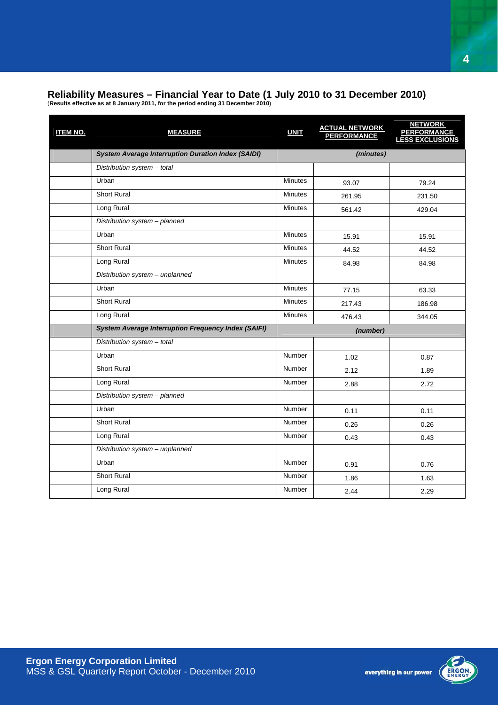# <span id="page-3-0"></span>**Reliability Measures – Financial Year to Date (1 July 2010 to 31 December 2010)**

(**Results effective as at 8 January 2011, for the period ending 31 December 2010**)

| <b>ITEM NO.</b> | <b>MEASURE</b>                                             | <b>UNIT</b>    | <b>ACTUAL NETWORK</b><br>PERFORMANCE | <b>NETWORK</b><br><b>PERFORMANCE</b><br><b>LESS EXCLUSIONS</b> |
|-----------------|------------------------------------------------------------|----------------|--------------------------------------|----------------------------------------------------------------|
|                 | <b>System Average Interruption Duration Index (SAIDI)</b>  |                | (minutes)                            |                                                                |
|                 | Distribution system - total                                |                |                                      |                                                                |
|                 | Urban                                                      | <b>Minutes</b> | 93.07                                | 79.24                                                          |
|                 | <b>Short Rural</b>                                         | <b>Minutes</b> | 261.95                               | 231.50                                                         |
|                 | Long Rural                                                 | <b>Minutes</b> | 561.42                               | 429.04                                                         |
|                 | Distribution system - planned                              |                |                                      |                                                                |
|                 | Urban                                                      | <b>Minutes</b> | 15.91                                | 15.91                                                          |
|                 | Short Rural                                                | <b>Minutes</b> | 44.52                                | 44.52                                                          |
|                 | Long Rural                                                 | <b>Minutes</b> | 84.98                                | 84.98                                                          |
|                 | Distribution system - unplanned                            |                |                                      |                                                                |
|                 | Urban                                                      | <b>Minutes</b> | 77.15                                | 63.33                                                          |
|                 | Short Rural                                                | <b>Minutes</b> | 217.43                               | 186.98                                                         |
|                 | Long Rural                                                 | <b>Minutes</b> | 476.43                               | 344.05                                                         |
|                 | <b>System Average Interruption Frequency Index (SAIFI)</b> |                | (number)                             |                                                                |
|                 | Distribution system - total                                |                |                                      |                                                                |
|                 | Urban                                                      | <b>Number</b>  | 1.02                                 | 0.87                                                           |
|                 | <b>Short Rural</b>                                         | <b>Number</b>  | 2.12                                 | 1.89                                                           |
|                 | Long Rural                                                 | Number         | 2.88                                 | 2.72                                                           |
|                 | Distribution system - planned                              |                |                                      |                                                                |
|                 | Urban                                                      | <b>Number</b>  | 0.11                                 | 0.11                                                           |
|                 | <b>Short Rural</b>                                         | Number         | 0.26                                 | 0.26                                                           |
|                 | Long Rural                                                 | Number         | 0.43                                 | 0.43                                                           |
|                 | Distribution system - unplanned                            |                |                                      |                                                                |
|                 | Urban                                                      | Number         | 0.91                                 | 0.76                                                           |
|                 | Short Rural                                                | <b>Number</b>  | 1.86                                 | 1.63                                                           |
|                 | Long Rural                                                 | <b>Number</b>  | 2.44                                 | 2.29                                                           |

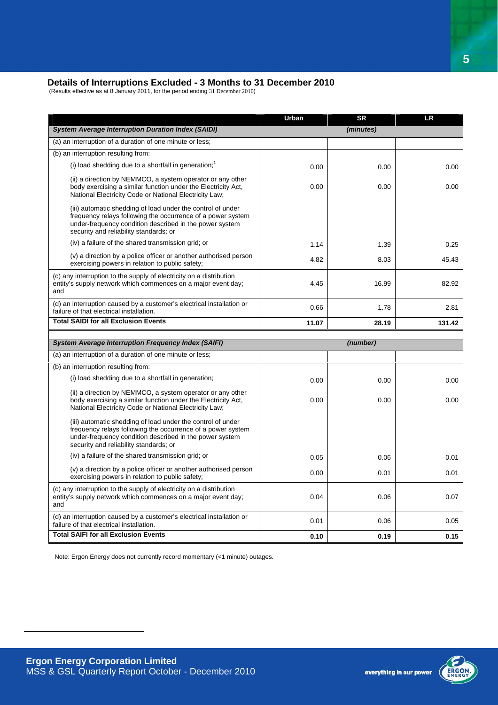#### <span id="page-4-0"></span>**Details of Interruptions Excluded - 3 Months to 31 December 2010**

(Results effective as at 8 January 2011, for the period ending 31 December 2010)

|                                                                                                                                                                                                                                 | Urban | <b>SR</b> | <b>LR</b> |
|---------------------------------------------------------------------------------------------------------------------------------------------------------------------------------------------------------------------------------|-------|-----------|-----------|
| <b>System Average Interruption Duration Index (SAIDI)</b>                                                                                                                                                                       |       | (minutes) |           |
| (a) an interruption of a duration of one minute or less;                                                                                                                                                                        |       |           |           |
| (b) an interruption resulting from:                                                                                                                                                                                             |       |           |           |
| (i) load shedding due to a shortfall in generation; <sup>1</sup>                                                                                                                                                                | 0.00  | 0.00      | 0.00      |
| (ii) a direction by NEMMCO, a system operator or any other<br>body exercising a similar function under the Electricity Act,<br>National Electricity Code or National Electricity Law;                                           | 0.00  | 0.00      | 0.00      |
| (iii) automatic shedding of load under the control of under<br>frequency relays following the occurrence of a power system<br>under-frequency condition described in the power system<br>security and reliability standards; or |       |           |           |
| (iv) a failure of the shared transmission grid; or                                                                                                                                                                              | 1.14  | 1.39      | 0.25      |
| (v) a direction by a police officer or another authorised person<br>exercising powers in relation to public safety;                                                                                                             | 4.82  | 8.03      | 45.43     |
| (c) any interruption to the supply of electricity on a distribution<br>entity's supply network which commences on a major event day;<br>and                                                                                     | 4.45  | 16.99     | 82.92     |
| (d) an interruption caused by a customer's electrical installation or<br>failure of that electrical installation.                                                                                                               | 0.66  | 1.78      | 2.81      |
| <b>Total SAIDI for all Exclusion Events</b>                                                                                                                                                                                     | 11.07 | 28.19     | 131.42    |
|                                                                                                                                                                                                                                 |       |           |           |
|                                                                                                                                                                                                                                 |       |           |           |
| <b>System Average Interruption Frequency Index (SAIFI)</b>                                                                                                                                                                      |       | (number)  |           |
| (a) an interruption of a duration of one minute or less;                                                                                                                                                                        |       |           |           |
| (b) an interruption resulting from:                                                                                                                                                                                             |       |           |           |
| (i) load shedding due to a shortfall in generation;                                                                                                                                                                             | 0.00  | 0.00      | 0.00      |
| (ii) a direction by NEMMCO, a system operator or any other<br>body exercising a similar function under the Electricity Act,<br>National Electricity Code or National Electricity Law;                                           | 0.00  | 0.00      | 0.00      |
| (iii) automatic shedding of load under the control of under<br>frequency relays following the occurrence of a power system<br>under-frequency condition described in the power system<br>security and reliability standards; or |       |           |           |
| (iv) a failure of the shared transmission grid; or                                                                                                                                                                              | 0.05  | 0.06      | 0.01      |
| (v) a direction by a police officer or another authorised person<br>exercising powers in relation to public safety;                                                                                                             | 0.00  | 0.01      | 0.01      |
| (c) any interruption to the supply of electricity on a distribution<br>entity's supply network which commences on a major event day;<br>and                                                                                     | 0.04  | 0.06      | 0.07      |
| (d) an interruption caused by a customer's electrical installation or<br>failure of that electrical installation.                                                                                                               | 0.01  | 0.06      | 0.05      |

Note: Ergon Energy does not currently record momentary (<1 minute) outages.

<span id="page-4-1"></span> $\overline{a}$ 

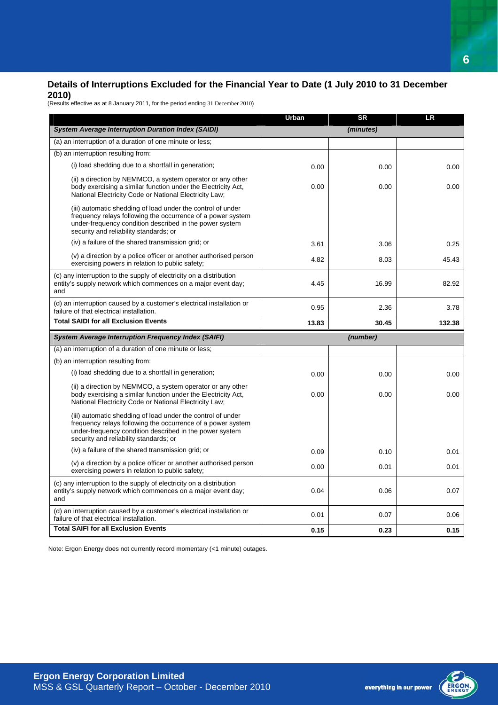#### <span id="page-5-0"></span>**Details of Interruptions Excluded for the Financial Year to Date (1 July 2010 to 31 December 2010)**

(Results effective as at 8 January 2011, for the period ending 31 December 2010)

|                                                                                                                                                                                                                                 | Urban | <b>SR</b> | LR     |
|---------------------------------------------------------------------------------------------------------------------------------------------------------------------------------------------------------------------------------|-------|-----------|--------|
| <b>System Average Interruption Duration Index (SAIDI)</b>                                                                                                                                                                       |       | (minutes) |        |
| (a) an interruption of a duration of one minute or less;                                                                                                                                                                        |       |           |        |
| (b) an interruption resulting from:                                                                                                                                                                                             |       |           |        |
| (i) load shedding due to a shortfall in generation;                                                                                                                                                                             | 0.00  | 0.00      | 0.00   |
| (ii) a direction by NEMMCO, a system operator or any other<br>body exercising a similar function under the Electricity Act,<br>National Electricity Code or National Electricity Law;                                           | 0.00  | 0.00      | 0.00   |
| (iii) automatic shedding of load under the control of under<br>frequency relays following the occurrence of a power system<br>under-frequency condition described in the power system<br>security and reliability standards; or |       |           |        |
| (iv) a failure of the shared transmission grid; or                                                                                                                                                                              | 3.61  | 3.06      | 0.25   |
| (v) a direction by a police officer or another authorised person<br>exercising powers in relation to public safety;                                                                                                             | 4.82  | 8.03      | 45.43  |
| (c) any interruption to the supply of electricity on a distribution<br>entity's supply network which commences on a major event day;<br>and                                                                                     | 4.45  | 16.99     | 82.92  |
| (d) an interruption caused by a customer's electrical installation or<br>failure of that electrical installation.                                                                                                               | 0.95  | 2.36      | 3.78   |
| <b>Total SAIDI for all Exclusion Events</b>                                                                                                                                                                                     | 13.83 | 30.45     | 132.38 |
| <b>System Average Interruption Frequency Index (SAIFI)</b>                                                                                                                                                                      |       | (number)  |        |
| (a) an interruption of a duration of one minute or less;                                                                                                                                                                        |       |           |        |
| (b) an interruption resulting from:                                                                                                                                                                                             |       |           |        |
| (i) load shedding due to a shortfall in generation;                                                                                                                                                                             | 0.00  | 0.00      | 0.00   |
| (ii) a direction by NEMMCO, a system operator or any other<br>body exercising a similar function under the Electricity Act,<br>National Electricity Code or National Electricity Law;                                           | 0.00  | 0.00      | 0.00   |
| (iii) automatic shedding of load under the control of under<br>frequency relays following the occurrence of a power system<br>under-frequency condition described in the power system<br>security and reliability standards; or |       |           |        |
| (iv) a failure of the shared transmission grid; or                                                                                                                                                                              | 0.09  | 0.10      | 0.01   |
| (v) a direction by a police officer or another authorised person<br>exercising powers in relation to public safety;                                                                                                             | 0.00  | 0.01      | 0.01   |
| (c) any interruption to the supply of electricity on a distribution<br>entity's supply network which commences on a major event day;<br>and                                                                                     | 0.04  | 0.06      | 0.07   |
| (d) an interruption caused by a customer's electrical installation or<br>failure of that electrical installation.                                                                                                               | 0.01  | 0.07      | 0.06   |
| <b>Total SAIFI for all Exclusion Events</b>                                                                                                                                                                                     | 0.15  | 0.23      | 0.15   |

Note: Ergon Energy does not currently record momentary (<1 minute) outages.

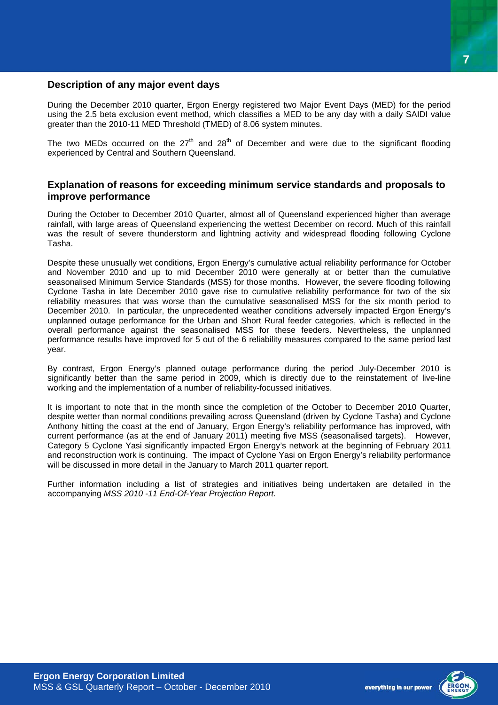#### <span id="page-6-0"></span>**Description of any major event days**

During the December 2010 quarter, Ergon Energy registered two Major Event Days (MED) for the period using the 2.5 beta exclusion event method, which classifies a MED to be any day with a daily SAIDI value greater than the 2010-11 MED Threshold (TMED) of 8.06 system minutes.

The two MEDs occurred on the  $27<sup>th</sup>$  and  $28<sup>th</sup>$  of December and were due to the significant flooding experienced by Central and Southern Queensland.

#### **Explanation of reasons for exceeding minimum service standards and proposals to improve performance**

During the October to December 2010 Quarter, almost all of Queensland experienced higher than average rainfall, with large areas of Queensland experiencing the wettest December on record. Much of this rainfall was the result of severe thunderstorm and lightning activity and widespread flooding following Cyclone Tasha.

Despite these unusually wet conditions, Ergon Energy's cumulative actual reliability performance for October and November 2010 and up to mid December 2010 were generally at or better than the cumulative seasonalised Minimum Service Standards (MSS) for those months. However, the severe flooding following Cyclone Tasha in late December 2010 gave rise to cumulative reliability performance for two of the six reliability measures that was worse than the cumulative seasonalised MSS for the six month period to December 2010. In particular, the unprecedented weather conditions adversely impacted Ergon Energy's unplanned outage performance for the Urban and Short Rural feeder categories, which is reflected in the overall performance against the seasonalised MSS for these feeders. Nevertheless, the unplanned performance results have improved for 5 out of the 6 reliability measures compared to the same period last year.

By contrast, Ergon Energy's planned outage performance during the period July-December 2010 is significantly better than the same period in 2009, which is directly due to the reinstatement of live-line working and the implementation of a number of reliability-focussed initiatives.

It is important to note that in the month since the completion of the October to December 2010 Quarter, despite wetter than normal conditions prevailing across Queensland (driven by Cyclone Tasha) and Cyclone Anthony hitting the coast at the end of January, Ergon Energy's reliability performance has improved, with current performance (as at the end of January 2011) meeting five MSS (seasonalised targets). However, Category 5 Cyclone Yasi significantly impacted Ergon Energy's network at the beginning of February 2011 and reconstruction work is continuing. The impact of Cyclone Yasi on Ergon Energy's reliability performance will be discussed in more detail in the January to March 2011 quarter report.

Further information including a list of strategies and initiatives being undertaken are detailed in the accompanying *MSS 2010 -11 End-Of-Year Projection Report.* 

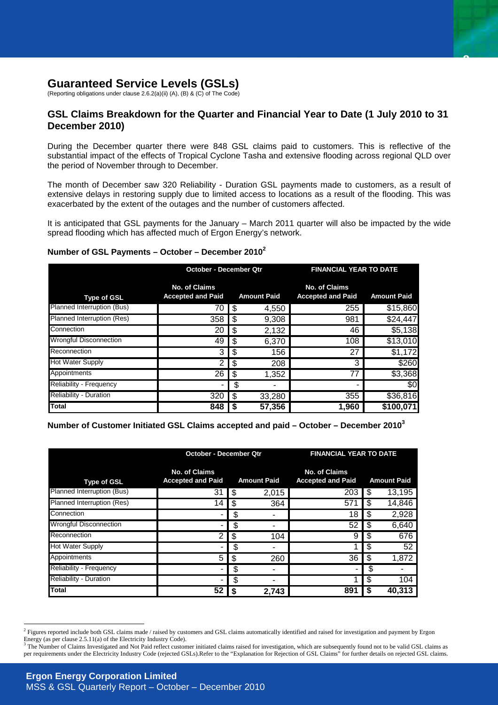## <span id="page-7-0"></span>**Guaranteed Service Levels (GSLs)**

(Reporting obligations under clause 2.6.2(a)(ii) (A), (B) & (C) of The Code)

#### **GSL Claims Breakdown for the Quarter and Financial Year to Date (1 July 2010 to 31 December 2010)**

**8**

During the December quarter there were 848 GSL claims paid to customers. This is reflective of the substantial impact of the effects of Tropical Cyclone Tasha and extensive flooding across regional QLD over the period of November through to December.

The month of December saw 320 Reliability - Duration GSL payments made to customers, as a result of extensive delays in restoring supply due to limited access to locations as a result of the flooding. This was exacerbated by the extent of the outages and the number of customers affected.

It is anticipated that GSL payments for the January – March 2011 quarter will also be impacted by the wide spread flooding which has affected much of Ergon Energy's network.

#### **Number of GSL Payments – October – December 2010[2](#page-7-1)**

|                               | October - December Qtr                    |      | <b>FINANCIAL YEAR TO DATE</b> |                                                  |                    |
|-------------------------------|-------------------------------------------|------|-------------------------------|--------------------------------------------------|--------------------|
| <b>Type of GSL</b>            | No. of Claims<br><b>Accepted and Paid</b> |      | <b>Amount Paid</b>            | <b>No. of Claims</b><br><b>Accepted and Paid</b> | <b>Amount Paid</b> |
| Planned Interruption (Bus)    | 70                                        | \$   | 4,550                         | 255                                              | \$15,860           |
| Planned Interruption (Res)    | 358                                       | -\$  | 9,308                         | 981                                              | \$24,447           |
| Connection                    | 20                                        | - \$ | 2,132                         | 46                                               | \$5,138            |
| <b>Wrongful Disconnection</b> | 49                                        |      | 6,370                         | 108                                              | \$13,010           |
| Reconnection                  | 3                                         | - \$ | 156                           | 27                                               | \$1,172            |
| <b>Hot Water Supply</b>       | 2                                         | -\$  | 208                           | 3                                                | \$260              |
| Appointments                  | 26                                        |      | 1,352                         | 77                                               | \$3,368            |
| Reliability - Frequency       |                                           | S    |                               |                                                  | \$0                |
| <b>Reliability - Duration</b> | 320                                       | -\$  | 33,280                        | 355                                              | \$36,816           |
| Total                         | 848                                       |      | 57,356                        | 1.960                                            | \$100,071          |

**Number of Customer Initiated GSL Claims accepted and paid – October – December 2010[3](#page-7-2)**

|                               | <b>October - December Qtr</b>                    |    | <b>FINANCIAL YEAR TO DATE</b> |                                                  |     |                    |
|-------------------------------|--------------------------------------------------|----|-------------------------------|--------------------------------------------------|-----|--------------------|
| <b>Type of GSL</b>            | <b>No. of Claims</b><br><b>Accepted and Paid</b> |    | <b>Amount Paid</b>            | <b>No. of Claims</b><br><b>Accepted and Paid</b> |     | <b>Amount Paid</b> |
| Planned Interruption (Bus)    | 31                                               | S  | 2,015                         | 203                                              | \$. | 13,195             |
| Planned Interruption (Res)    | 14                                               | S  | 364                           | 57                                               | S   | 14,846             |
| Connection                    |                                                  | \$ |                               | 18                                               | S   | 2,928              |
| <b>Wrongful Disconnection</b> |                                                  | S  |                               | 52                                               | \$  | 6,640              |
| Reconnection                  | $\overline{2}$                                   | S  | 104                           | 9                                                | S   | 676                |
| <b>Hot Water Supply</b>       | -                                                | \$ |                               |                                                  | S   | 52                 |
| Appointments                  | 5                                                | \$ | 260                           | 36                                               | \$  | 1,872              |
| Reliability - Frequency       |                                                  | \$ |                               |                                                  | S   |                    |
| <b>Reliability - Duration</b> | -                                                | \$ |                               |                                                  | S   | 104                |
| Total                         | 52                                               |    | 2,743                         | 891                                              |     | 40.313             |

<span id="page-7-1"></span><sup>&</sup>lt;sup>2</sup> Figures reported include both GSL claims made / raised by customers and GSL claims automatically identified and raised for investigation and payment by Ergon Energy (as per clause 2.5.11(a) of the Electricity Industry Code).<br><sup>3</sup> The Number of Claims Investigated and Not Paid reflect customer initiated claims raised for investigation, which are subsequently found not to be valid

<span id="page-7-2"></span>per requirements under the Electricity Industry Code (rejected GSLs).Refer to the "Explanation for Rejection of GSL Claims" for further details on rejected GSL claims.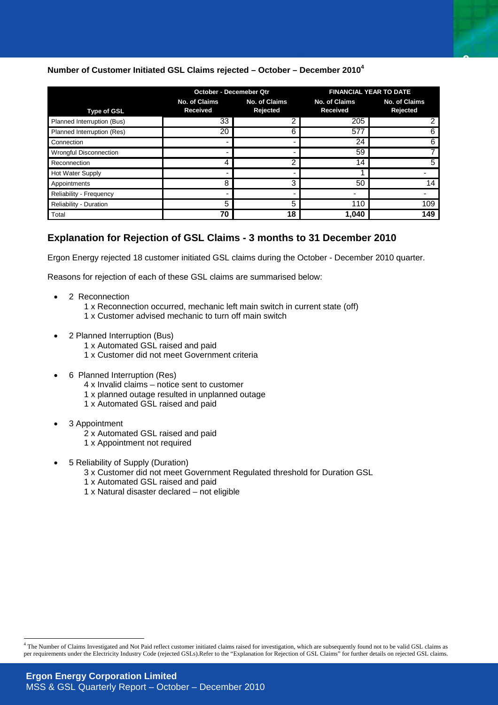#### <span id="page-8-0"></span>**Number of Customer Initiated GSL Claims rejected – October – December 2010[4](#page-8-1)**

|                               | <b>October - Decemeber Qtr</b>   |                           |                          | <b>FINANCIAL YEAR TO DATE</b>    |  |
|-------------------------------|----------------------------------|---------------------------|--------------------------|----------------------------------|--|
| <b>Type of GSL</b>            | <b>No. of Claims</b><br>Received | No. of Claims<br>Rejected |                          | <b>No. of Claims</b><br>Rejected |  |
| Planned Interruption (Bus)    | 33                               |                           | 205                      |                                  |  |
| Planned Interruption (Res)    | 20                               | 6                         | 577                      |                                  |  |
| Connection                    |                                  |                           | 24                       |                                  |  |
| <b>Wrongful Disconnection</b> | $\,$                             |                           | 59                       |                                  |  |
| Reconnection                  | 4                                |                           | 14                       |                                  |  |
| Hot Water Supply              |                                  |                           |                          |                                  |  |
| Appointments                  | 8                                | 3                         | 50                       | 14                               |  |
| Reliability - Frequency       | -                                |                           | $\overline{\phantom{0}}$ |                                  |  |
| Reliability - Duration        | 5                                | 5                         | 110                      | 109                              |  |
| Total                         | 70                               | 18                        | 1,040                    | 149                              |  |

**9**

#### **Explanation for Rejection of GSL Claims - 3 months to 31 December 2010**

Ergon Energy rejected 18 customer initiated GSL claims during the October - December 2010 quarter.

Reasons for rejection of each of these GSL claims are summarised below:

- 2 Reconnection
	- 1 x Reconnection occurred, mechanic left main switch in current state (off)
	- 1 x Customer advised mechanic to turn off main switch
- 2 Planned Interruption (Bus)
	- 1 x Automated GSL raised and paid
	- 1 x Customer did not meet Government criteria
- 6 Planned Interruption (Res)
	- 4 x Invalid claims notice sent to customer
	- 1 x planned outage resulted in unplanned outage
	- 1 x Automated GSL raised and paid
- 3 Appointment
	- 2 x Automated GSL raised and paid
	- 1 x Appointment not required
- 5 Reliability of Supply (Duration)
	- 3 x Customer did not meet Government Regulated threshold for Duration GSL
	- 1 x Automated GSL raised and paid
	- 1 x Natural disaster declared not eligible

<span id="page-8-1"></span> 4 The Number of Claims Investigated and Not Paid reflect customer initiated claims raised for investigation, which are subsequently found not to be valid GSL claims as per requirements under the Electricity Industry Code (rejected GSLs).Refer to the "Explanation for Rejection of GSL Claims" for further details on rejected GSL claims.